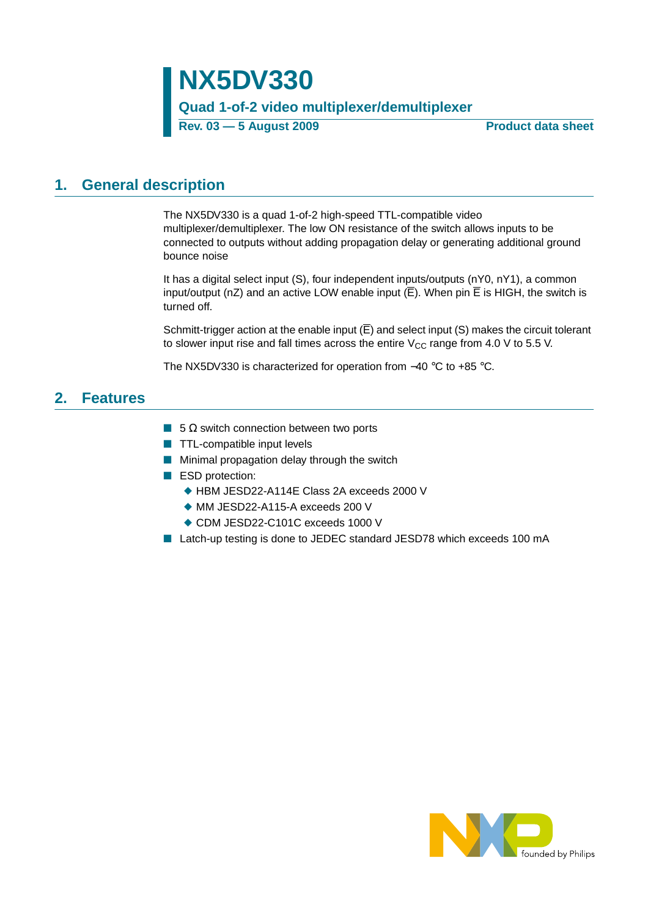# **NX5DV330**

## **Quad 1-of-2 video multiplexer/demultiplexer**

Rev. 03 – 5 August 2009 **Product data sheet** 

## <span id="page-0-0"></span>**1. General description**

The NX5DV330 is a quad 1-of-2 high-speed TTL-compatible video multiplexer/demultiplexer. The low ON resistance of the switch allows inputs to be connected to outputs without adding propagation delay or generating additional ground bounce noise

It has a digital select input (S), four independent inputs/outputs (nY0, nY1), a common input/output (nZ) and an active LOW enable input  $(\overline{E})$ . When pin  $\overline{E}$  is HIGH, the switch is turned off.

Schmitt-trigger action at the enable input  $(\overline{E})$  and select input (S) makes the circuit tolerant to slower input rise and fall times across the entire  $V_{CC}$  range from 4.0 V to 5.5 V.

The NX5DV330 is characterized for operation from −40 °C to +85 °C.

## <span id="page-0-1"></span>**2. Features**

- 5 Ω switch connection between two ports
- TTL-compatible input levels
- Minimal propagation delay through the switch
- ESD protection:
	- ◆ HBM JESD22-A114E Class 2A exceeds 2000 V
	- ◆ MM JESD22-A115-A exceeds 200 V
	- ◆ CDM JESD22-C101C exceeds 1000 V
- Latch-up testing is done to JEDEC standard JESD78 which exceeds 100 mA

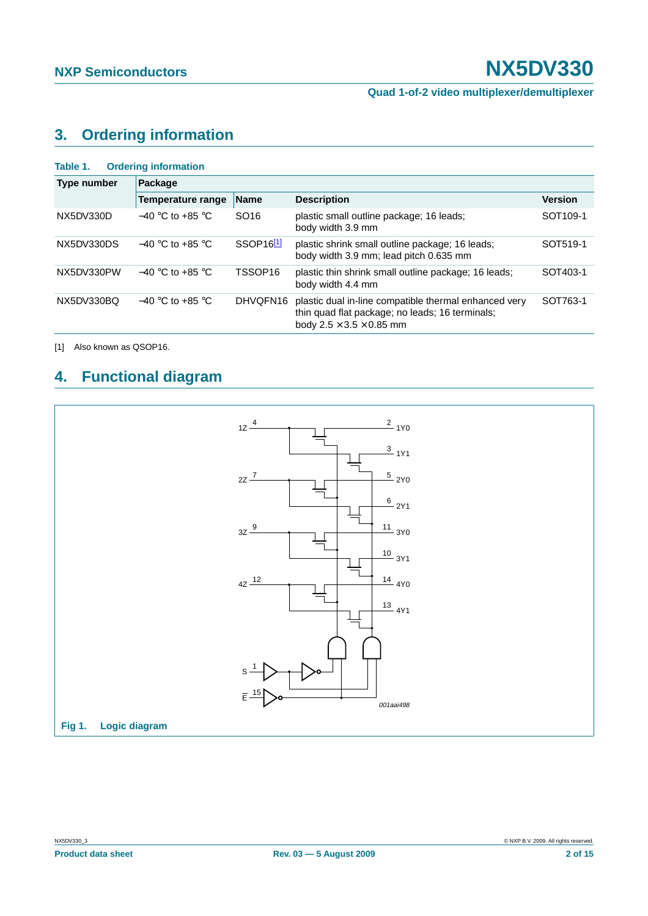## <span id="page-1-1"></span>**3. Ordering information**

| Table 1.    | <b>Ordering information</b> |                       |                                                                                                                                                  |                      |  |  |  |  |
|-------------|-----------------------------|-----------------------|--------------------------------------------------------------------------------------------------------------------------------------------------|----------------------|--|--|--|--|
| Type number | Package                     |                       |                                                                                                                                                  |                      |  |  |  |  |
|             | <b>Temperature range</b>    | <b>Name</b>           | <b>Description</b>                                                                                                                               | <b>Version</b>       |  |  |  |  |
| NX5DV330D   | $-40$ °C to +85 °C          | SO <sub>16</sub>      | plastic small outline package; 16 leads;<br>body width 3.9 mm                                                                                    | SOT <sub>109-1</sub> |  |  |  |  |
| NX5DV330DS  | $-40$ °C to +85 °C          | SSOP16 <sup>[1]</sup> | plastic shrink small outline package; 16 leads;<br>body width 3.9 mm; lead pitch 0.635 mm                                                        | SOT519-1             |  |  |  |  |
| NX5DV330PW  | $-40$ °C to +85 °C          | TSSOP <sub>16</sub>   | plastic thin shrink small outline package; 16 leads;<br>body width 4.4 mm                                                                        | SOT403-1             |  |  |  |  |
| NX5DV330BQ  | $-40$ °C to +85 °C          | DHVQFN16              | plastic dual in-line compatible thermal enhanced very<br>thin quad flat package; no leads; 16 terminals;<br>body $2.5 \times 3.5 \times 0.85$ mm | SOT763-1             |  |  |  |  |

<span id="page-1-0"></span>[1] Also known as QSOP16.

## <span id="page-1-2"></span>**4. Functional diagram**

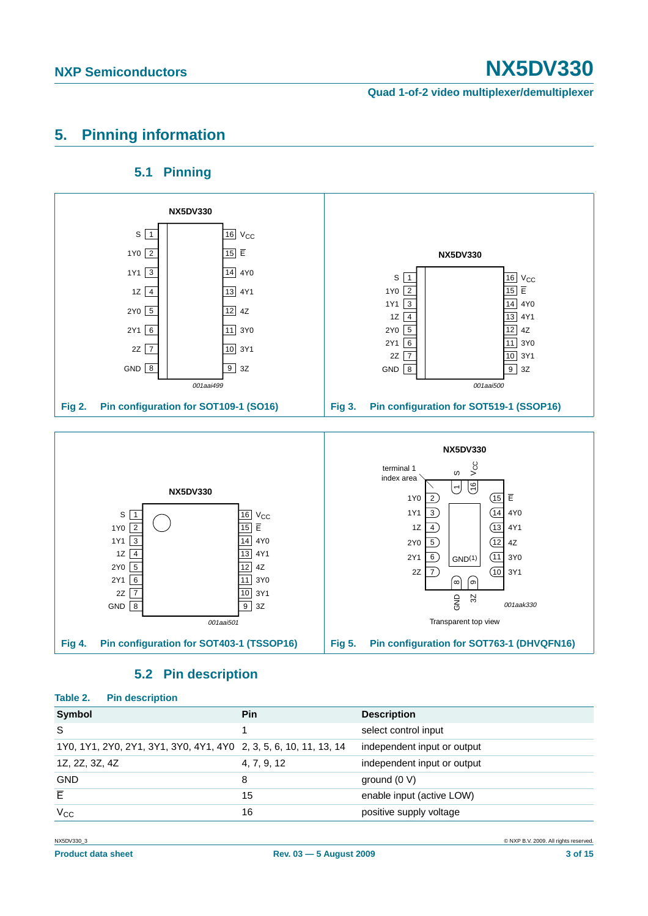**Quad 1-of-2 video multiplexer/demultiplexer**

## <span id="page-2-0"></span>**5. Pinning information**

## **5.1 Pinning**

<span id="page-2-1"></span>

## **5.2 Pin description**

### <span id="page-2-2"></span>**Table 2. Pin description**

| Symbol                                                            | <b>Pin</b>  | <b>Description</b>          |
|-------------------------------------------------------------------|-------------|-----------------------------|
| S                                                                 |             | select control input        |
| 1Y0, 1Y1, 2Y0, 2Y1, 3Y1, 3Y0, 4Y1, 4Y0 2, 3, 5, 6, 10, 11, 13, 14 |             | independent input or output |
| 1Z, 2Z, 3Z, 4Z                                                    | 4, 7, 9, 12 | independent input or output |
| <b>GND</b>                                                        | 8           | ground $(0 V)$              |
| E                                                                 | 15          | enable input (active LOW)   |
| $V_{CC}$                                                          | 16          | positive supply voltage     |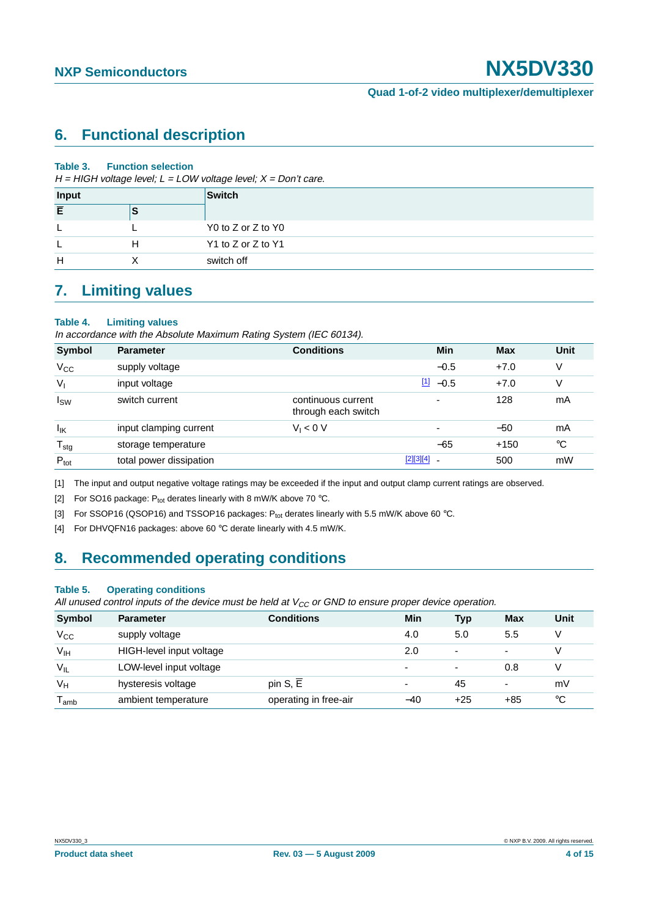## <span id="page-3-4"></span>**6. Functional description**

### **Table 3. Function selection**

 $H = HIGH$  voltage level;  $L = LOW$  voltage level;  $X = Don't$  care.

| Input |  | Switch             |
|-------|--|--------------------|
| Ē     |  |                    |
|       |  | Y0 to Z or Z to Y0 |
|       |  | Y1 to Z or Z to Y1 |
| н     |  | switch off         |

## <span id="page-3-5"></span>**7. Limiting values**

### **Table 4. Limiting values**

In accordance with the Absolute Maximum Rating System (IEC 60134).

| <b>Symbol</b>    | <b>Parameter</b>        | <b>Conditions</b>                         | Min                      | <b>Max</b> | Unit        |
|------------------|-------------------------|-------------------------------------------|--------------------------|------------|-------------|
| $V_{CC}$         | supply voltage          |                                           | $-0.5$                   | $+7.0$     | V           |
| $V_{1}$          | input voltage           |                                           | $\frac{11}{2}$ -0.5      | $+7.0$     | V           |
| $I_{SW}$         | switch current          | continuous current<br>through each switch | $\overline{\phantom{0}}$ | 128        | mA          |
| lικ              | input clamping current  | $V_1 < 0 V$                               |                          | $-50$      | mA          |
| $T_{\text{stg}}$ | storage temperature     |                                           | $-65$                    | $+150$     | $^{\circ}C$ |
| $P_{\text{tot}}$ | total power dissipation |                                           | $[2][3][4]$              | 500        | mW          |

<span id="page-3-0"></span>[1] The input and output negative voltage ratings may be exceeded if the input and output clamp current ratings are observed.

<span id="page-3-1"></span>[2] For SO16 package:  $P_{\text{tot}}$  derates linearly with 8 mW/K above 70 °C.

<span id="page-3-2"></span>[3] For SSOP16 (QSOP16) and TSSOP16 packages:  $P_{tot}$  derates linearly with 5.5 mW/K above 60 °C.

<span id="page-3-3"></span>[4] For DHVQFN16 packages: above 60 °C derate linearly with 4.5 mW/K.

## <span id="page-3-6"></span>**8. Recommended operating conditions**

### **Table 5. Operating conditions**

All unused control inputs of the device must be held at  $V_{CC}$  or GND to ensure proper device operation.

| Symbol           | <b>Parameter</b>         | <b>Conditions</b>     | Min                      | <b>Typ</b>               | Max                      | Unit |
|------------------|--------------------------|-----------------------|--------------------------|--------------------------|--------------------------|------|
| $V_{\rm CC}$     | supply voltage           |                       | 4.0                      | 5.0                      | 5.5                      | V    |
| V <sub>IH</sub>  | HIGH-level input voltage |                       | 2.0                      | $\overline{\phantom{0}}$ | $\overline{\phantom{0}}$ | V    |
| $V_{IL}$         | LOW-level input voltage  |                       | $\overline{\phantom{0}}$ |                          | 0.8                      | V    |
| $V_H$            | hysteresis voltage       | pin S, E              | $\overline{\phantom{0}}$ | 45                       | $\overline{\phantom{0}}$ | mV   |
| l <sub>amb</sub> | ambient temperature      | operating in free-air | $-40$                    | $+25$                    | $+85$                    | ℃    |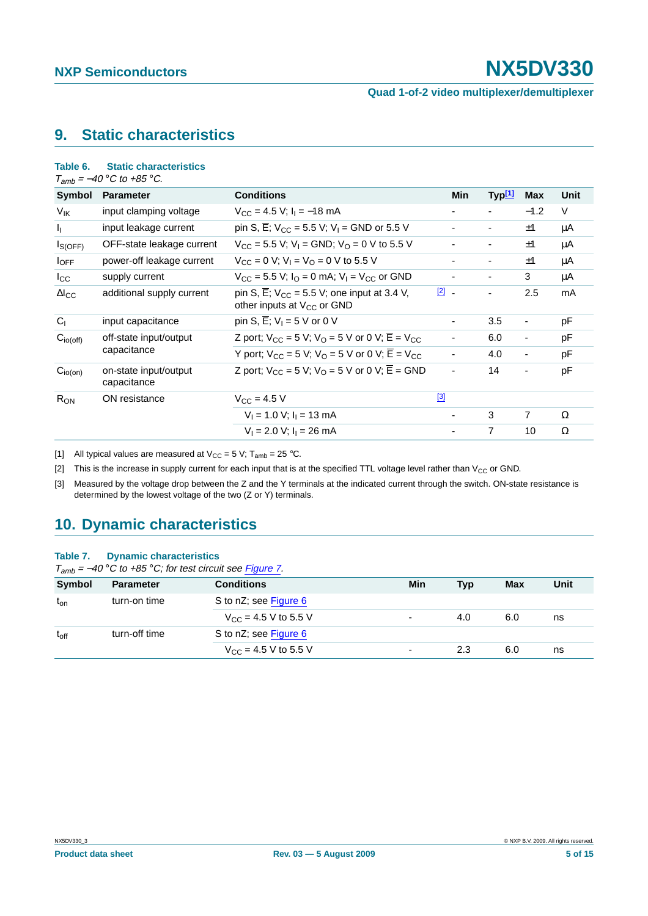**Quad 1-of-2 video multiplexer/demultiplexer**

## <span id="page-4-3"></span>**9. Static characteristics**

### **Table 6. Static characteristics**

 $T_{amb} = -40$  °C to +85 °C.

| Symbol          | <b>Parameter</b>                     | <b>Conditions</b>                                                                                       |               | Min                      | Typ <sup>[1]</sup>       | <b>Max</b>               | Unit   |
|-----------------|--------------------------------------|---------------------------------------------------------------------------------------------------------|---------------|--------------------------|--------------------------|--------------------------|--------|
| V <sub>IK</sub> | input clamping voltage               | $V_{\rm CC}$ = 4.5 V; $I_{\rm I}$ = -18 mA                                                              |               |                          | $\blacksquare$           | $-1.2$                   | $\vee$ |
| h.              | input leakage current                | pin S, $\overline{E}$ ; V <sub>CC</sub> = 5.5 V; V <sub>I</sub> = GND or 5.5 V                          |               | ۰                        |                          | ±1                       | μA     |
| $I_{S(OFF)}$    | OFF-state leakage current            | $V_{CC}$ = 5.5 V; V <sub>1</sub> = GND; V <sub>0</sub> = 0 V to 5.5 V                                   |               | ٠                        | $\blacksquare$           | ±1                       | μA     |
| $I_{OFF}$       | power-off leakage current            | $V_{CC} = 0$ V; $V_1 = V_O = 0$ V to 5.5 V                                                              |               |                          | ۰                        | ±1                       | μA     |
| $_{\rm lcc}$    | supply current                       | $V_{CC}$ = 5.5 V; $I_{O}$ = 0 mA; $V_{I}$ = V <sub>CC</sub> or GND                                      |               | ٠                        | $\overline{\phantom{a}}$ | 3                        | μA     |
| $\Delta I_{CC}$ | additional supply current            | pin S, $\overline{E}$ ; $V_{CC}$ = 5.5 V; one input at 3.4 V,<br>other inputs at V <sub>CC</sub> or GND | $\boxed{2}$ - |                          | ٠                        | 2.5                      | mA     |
| C <sub>1</sub>  | input capacitance                    | pin S, $\overline{E}$ ; V <sub>1</sub> = 5 V or 0 V                                                     |               | $\overline{\phantom{a}}$ | 3.5                      | $\blacksquare$           | pF     |
| $C_{io(off)}$   | off-state input/output               | Z port; $V_{CC}$ = 5 V; $V_{O}$ = 5 V or 0 V; $\overline{E}$ = V <sub>CC</sub>                          |               | ٠                        | 6.0                      | -                        | рF     |
|                 | capacitance                          | Y port; $V_{CC}$ = 5 V; $V_{O}$ = 5 V or 0 V; $\overline{E}$ = V <sub>CC</sub>                          |               | ٠                        | 4.0                      | $\blacksquare$           | pF     |
| $C_{io(on)}$    | on-state input/output<br>capacitance | Z port; $V_{CC}$ = 5 V; $V_{O}$ = 5 V or 0 V; $\overline{E}$ = GND                                      |               | $\overline{\phantom{a}}$ | 14                       | $\overline{\phantom{a}}$ | pF     |
| $R_{ON}$        | ON resistance                        | $V_{\rm CC}$ = 4.5 V                                                                                    | $[3]$         |                          |                          |                          |        |
|                 |                                      | $V_1 = 1.0 V$ ; $I_1 = 13 mA$                                                                           |               | ٠                        | 3                        | 7                        | Ω      |
|                 |                                      | $V_1 = 2.0 V$ ; $I_1 = 26 mA$                                                                           |               |                          | 7                        | 10                       | Ω      |

<span id="page-4-0"></span>[1] All typical values are measured at  $V_{CC} = 5 V$ ;  $T_{amb} = 25 °C$ .

<span id="page-4-1"></span>[2] This is the increase in supply current for each input that is at the specified TTL voltage level rather than  $V_{CC}$  or GND.

<span id="page-4-2"></span>[3] Measured by the voltage drop between the Z and the Y terminals at the indicated current through the switch. ON-state resistance is determined by the lowest voltage of the two (Z or Y) terminals.

## <span id="page-4-4"></span>**10. Dynamic characteristics**

### **Table 7. Dynamic characteristics**

 $T_{amb} = -40$  °C to +85 °C; for test circuit see [Figure](#page-5-0) 7.

| .         |                  |                                          |                          |            |     |      |
|-----------|------------------|------------------------------------------|--------------------------|------------|-----|------|
| Symbol    | <b>Parameter</b> | <b>Conditions</b>                        | Min                      | <b>Typ</b> | Max | Unit |
| $t_{on}$  | turn-on time     | S to nZ; see Figure 6                    |                          |            |     |      |
|           |                  | $V_{\text{CC}} = 4.5 \text{ V}$ to 5.5 V | $\overline{\phantom{0}}$ | 4.0        | 6.0 | ns   |
| $t_{off}$ | turn-off time    | S to nZ; see Figure 6                    |                          |            |     |      |
|           |                  | $V_{CC}$ = 4.5 V to 5.5 V                | $\overline{\phantom{0}}$ | 2.3        | 6.0 | ns   |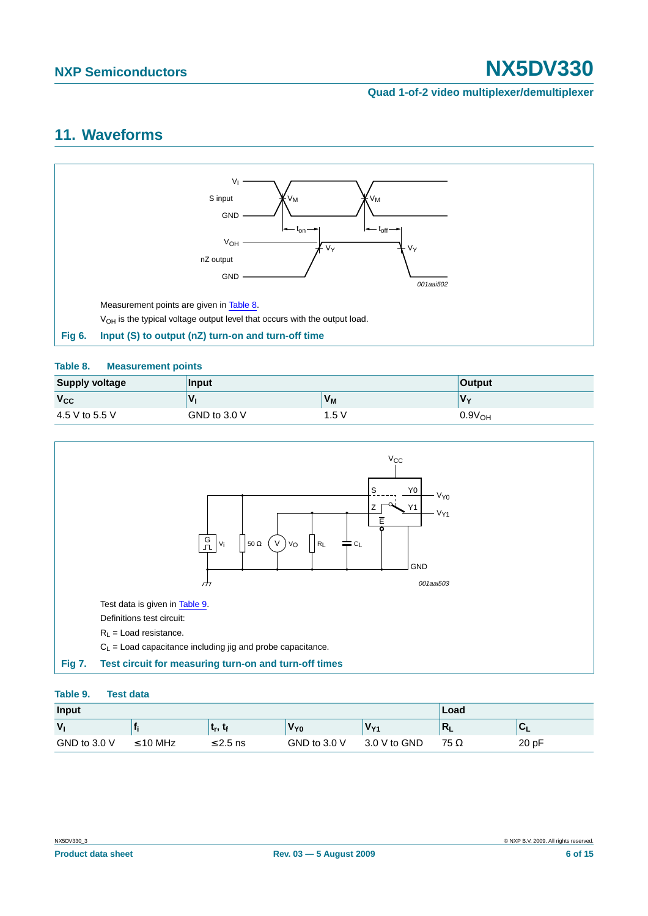### **Quad 1-of-2 video multiplexer/demultiplexer**

## <span id="page-5-4"></span>**11. Waveforms**



### <span id="page-5-2"></span><span id="page-5-1"></span>**Table 8. Measurement points**

| <b>Supply voltage</b> | Input          |         | <b>Output</b>      |
|-----------------------|----------------|---------|--------------------|
| $V_{CC}$              | $\mathbf{v}$   | $V_{M}$ | $V_{\mathbf{v}}$   |
| 4.5 V to 5.5 V        | GND to $3.0 V$ | 1.5 V   | 0.9V <sub>OH</sub> |



### <span id="page-5-3"></span><span id="page-5-0"></span>**Table 9. Test data**

| Input          |               |               |                 |                 | Load        |        |
|----------------|---------------|---------------|-----------------|-----------------|-------------|--------|
| V <sub>1</sub> |               | ե, ե          | V <sub>Y0</sub> | V <sub>Y1</sub> | $R_L$       | $\sim$ |
| GND to 3.0 $V$ | $\leq$ 10 MHz | $\leq$ 2.5 ns | GND to $3.0 V$  | 3.0 V to GND    | 75 $\Omega$ | 20 pF  |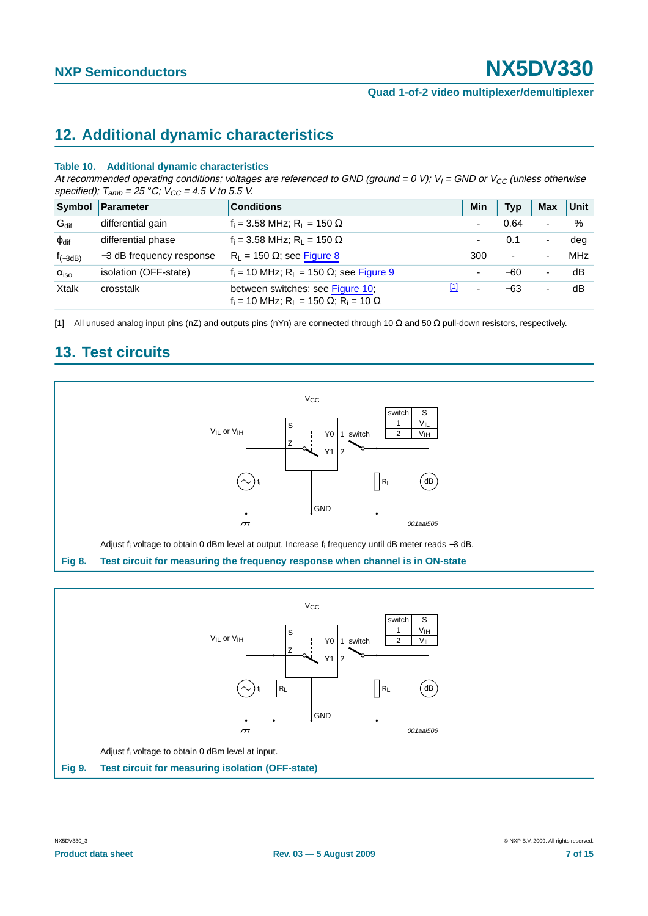## <span id="page-6-3"></span>**12. Additional dynamic characteristics**

### **Table 10. Additional dynamic characteristics**

At recommended operating conditions; voltages are referenced to GND (ground = 0 V); V<sub>I</sub> = GND or V<sub>CC</sub> (unless otherwise specified);  $T_{amb} = 25 °C$ ;  $V_{CC} = 4.5 V$  to 5.5 V.

| Symbol                 | Parameter                | <b>Conditions</b>                                                                                 | Min                      | <b>Typ</b>               | <b>Max</b>               | Unit |
|------------------------|--------------------------|---------------------------------------------------------------------------------------------------|--------------------------|--------------------------|--------------------------|------|
| $G_{\text{dif}}$       | differential gain        | $f_i = 3.58 \text{ MHz}; R_L = 150 \Omega$                                                        |                          | 0.64                     | ۰                        | %    |
| $\varphi_{\text{dif}}$ | differential phase       | $f_i = 3.58 \text{ MHz}; R_1 = 150 \Omega$                                                        |                          | 0.1                      | $\overline{\phantom{a}}$ | dea  |
| $f_{(-3dB)}$           | -3 dB frequency response | $R_1 = 150 \Omega$ ; see Figure 8                                                                 | 300                      | $\overline{\phantom{a}}$ | ٠                        | MHz  |
| $\alpha_{\rm iso}$     | isolation (OFF-state)    | $f_i = 10$ MHz; R <sub>1</sub> = 150 $\Omega$ ; see Figure 9                                      |                          | $-60$                    | ۰                        | dB   |
| <b>Xtalk</b>           | crosstalk                | [1]<br>between switches; see Figure 10;<br>$f_i = 10$ MHz; $R_L = 150 \Omega$ ; $R_i = 10 \Omega$ | $\overline{\phantom{0}}$ | $-63$                    | ۰                        | dB   |

<span id="page-6-2"></span>[1] All unused analog input pins (nZ) and outputs pins (nYn) are connected through 10 Ω and 50 Ω pull-down resistors, respectively.

## <span id="page-6-4"></span>**13. Test circuits**



<span id="page-6-1"></span><span id="page-6-0"></span>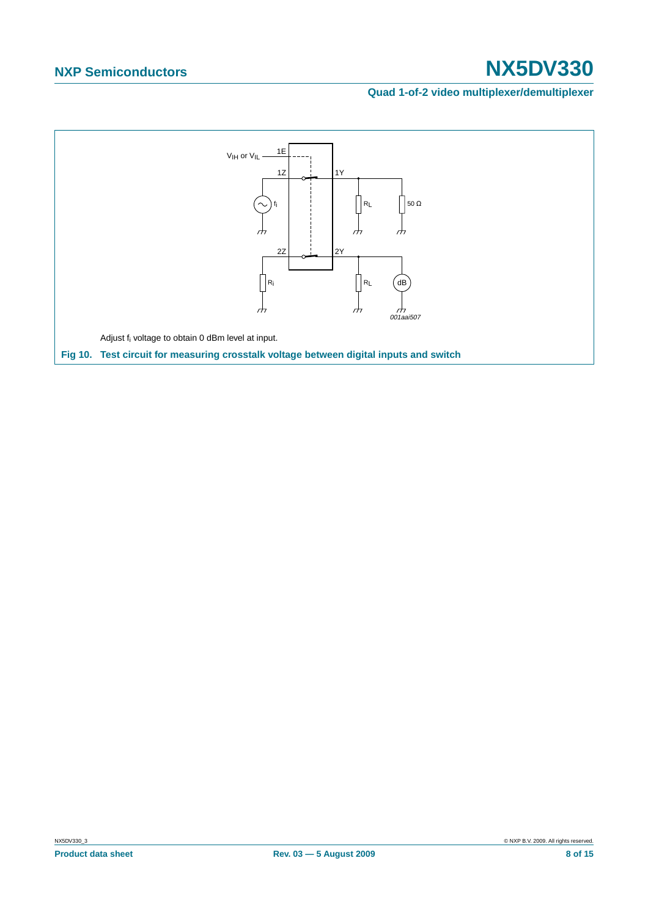### **Quad 1-of-2 video multiplexer/demultiplexer**

<span id="page-7-0"></span>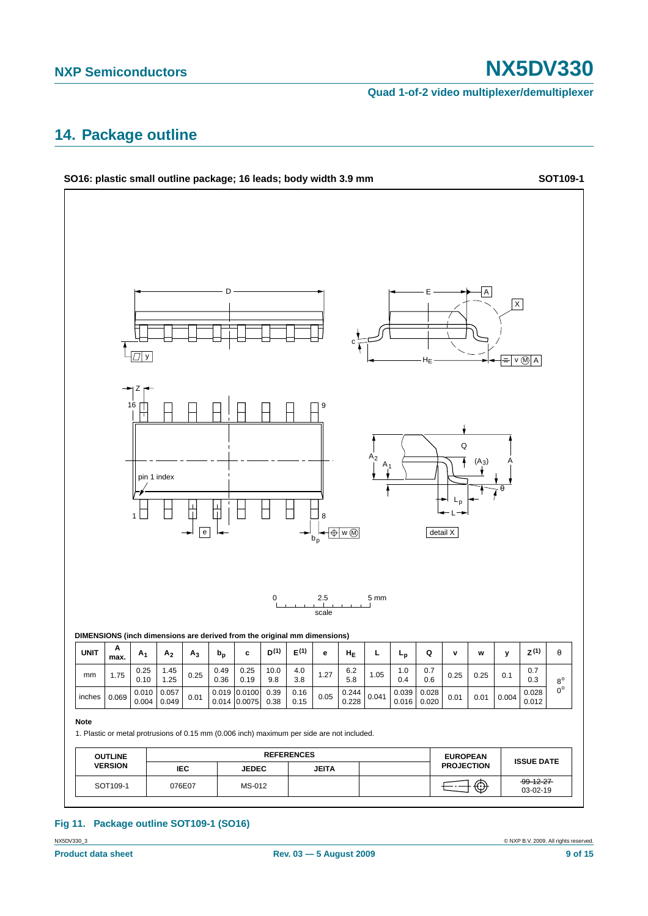**Quad 1-of-2 video multiplexer/demultiplexer**

## <span id="page-8-0"></span>**14. Package outline**



### **Fig 11. Package outline SOT109-1 (SO16)**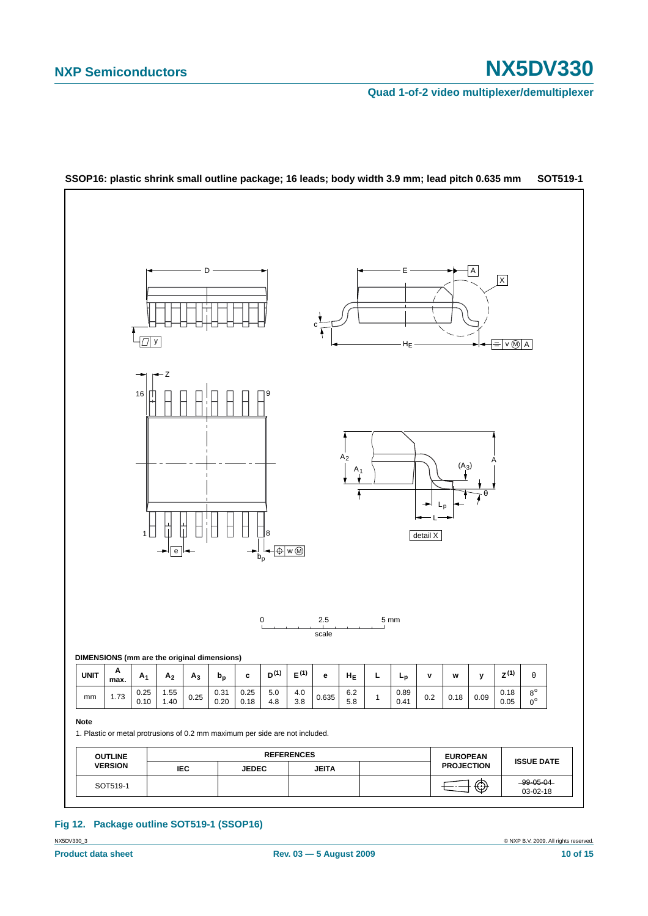**Quad 1-of-2 video multiplexer/demultiplexer**





### **Fig 12. Package outline SOT519-1 (SSOP16)**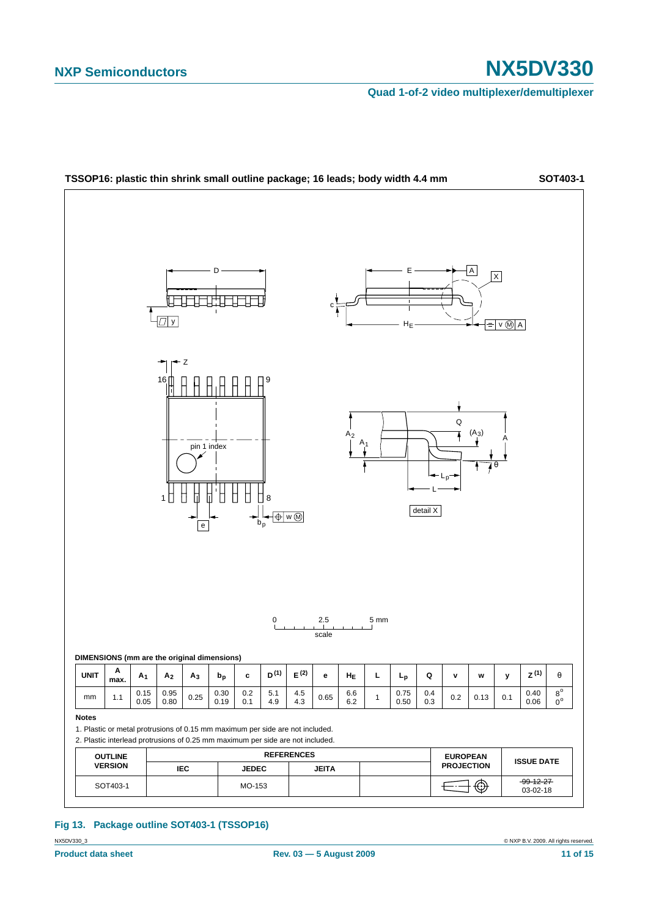**Quad 1-of-2 video multiplexer/demultiplexer**



**Fig 13. Package outline SOT403-1 (TSSOP16)**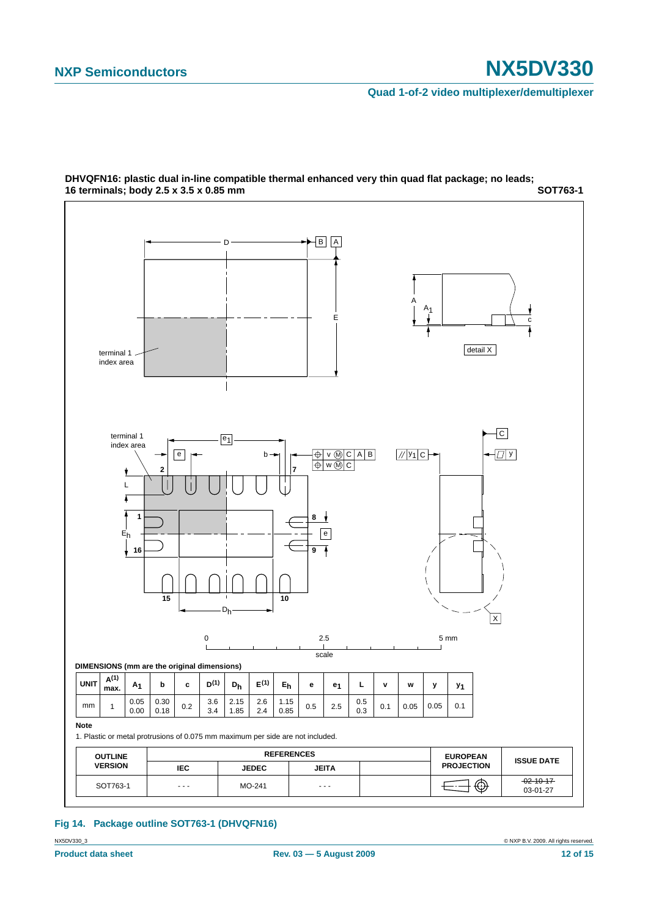**Quad 1-of-2 video multiplexer/demultiplexer**



**SOT763-1 DHVQFN16: plastic dual in-line compatible thermal enhanced very thin quad flat package; no leads; 16 terminals; body 2.5 x 3.5 x 0.85 mm**

### **Fig 14. Package outline SOT763-1 (DHVQFN16)**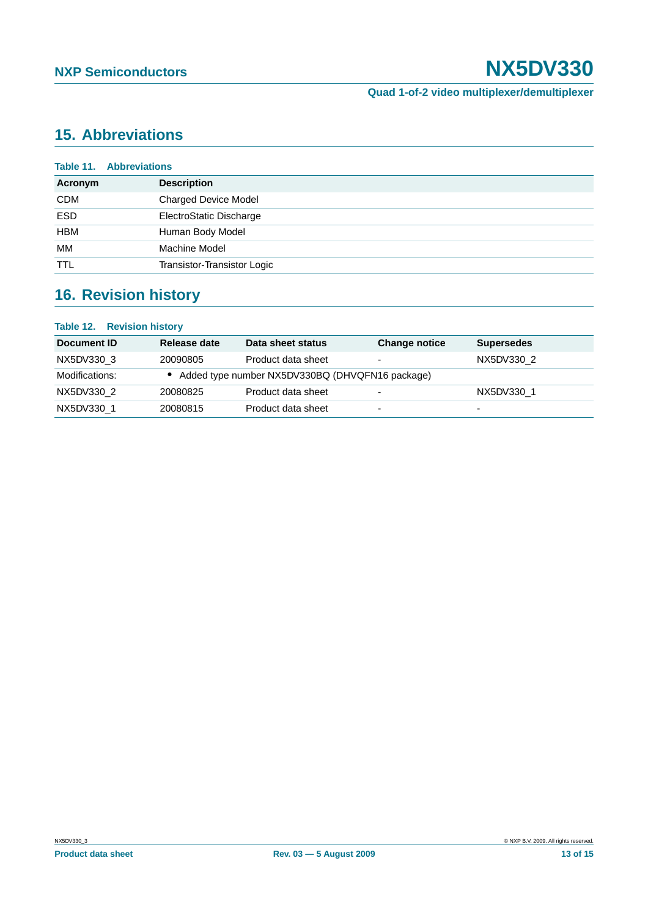## <span id="page-12-0"></span>**15. Abbreviations**

|            | <b>Table 11. Abbreviations</b> |
|------------|--------------------------------|
| Acronym    | <b>Description</b>             |
| <b>CDM</b> | <b>Charged Device Model</b>    |
| <b>ESD</b> | ElectroStatic Discharge        |
| <b>HBM</b> | Human Body Model               |
| МM         | Machine Model                  |
| <b>TTL</b> | Transistor-Transistor Logic    |

## <span id="page-12-1"></span>**16. Revision history**

### **Table 12. Revision history**

| Document ID    | Release date | Data sheet status                               | <b>Change notice</b>     | <b>Supersedes</b>        |
|----------------|--------------|-------------------------------------------------|--------------------------|--------------------------|
| NX5DV330 3     | 20090805     | Product data sheet                              | $\overline{\phantom{0}}$ | NX5DV330 2               |
| Modifications: |              | Added type number NX5DV330BQ (DHVQFN16 package) |                          |                          |
| NX5DV330 2     | 20080825     | Product data sheet                              | -                        | NX5DV330 1               |
| NX5DV330 1     | 20080815     | Product data sheet                              | $\overline{\phantom{0}}$ | $\overline{\phantom{0}}$ |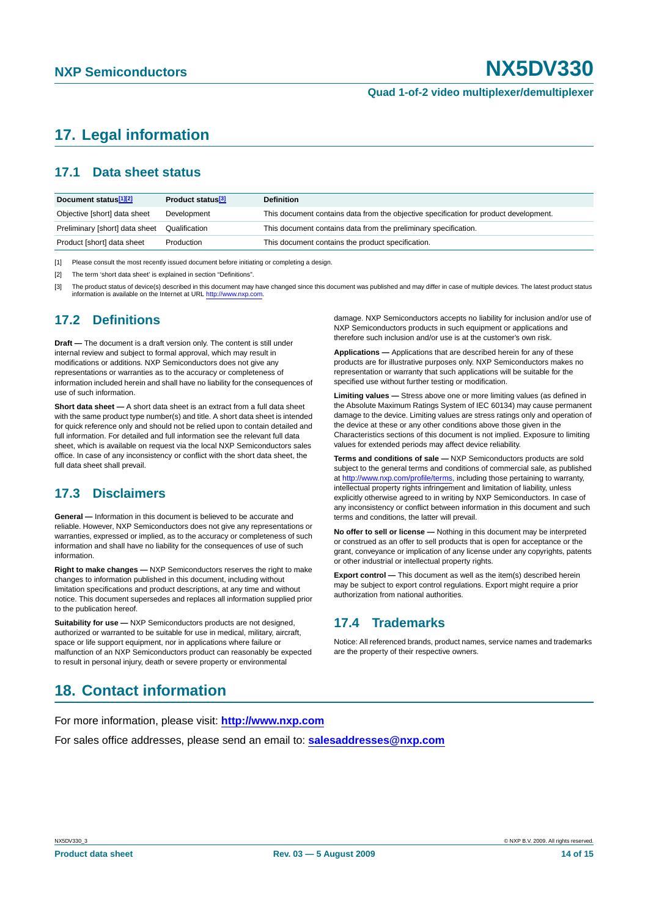## <span id="page-13-0"></span>**17. Legal information**

## <span id="page-13-1"></span>**17.1 Data sheet status**

| Document status <sup>[1][2]</sup> | Product status <sup>[3]</sup> | <b>Definition</b>                                                                     |
|-----------------------------------|-------------------------------|---------------------------------------------------------------------------------------|
| Objective [short] data sheet      | Development                   | This document contains data from the objective specification for product development. |
| Preliminary [short] data sheet    | Qualification                 | This document contains data from the preliminary specification.                       |
| Product [short] data sheet        | Production                    | This document contains the product specification.                                     |

[1] Please consult the most recently issued document before initiating or completing a design.

[2] The term 'short data sheet' is explained in section "Definitions".

[3] The product status of device(s) described in this document may have changed since this document was published and may differ in case of multiple devices. The latest product status information is available on the Internet at URL <http://www.nxp.com>.

### <span id="page-13-2"></span>**17.2 Definitions**

**Draft —** The document is a draft version only. The content is still under internal review and subject to formal approval, which may result in modifications or additions. NXP Semiconductors does not give any representations or warranties as to the accuracy or completeness of information included herein and shall have no liability for the consequences of use of such information.

**Short data sheet —** A short data sheet is an extract from a full data sheet with the same product type number(s) and title. A short data sheet is intended for quick reference only and should not be relied upon to contain detailed and full information. For detailed and full information see the relevant full data sheet, which is available on request via the local NXP Semiconductors sales office. In case of any inconsistency or conflict with the short data sheet, the full data sheet shall prevail.

## <span id="page-13-3"></span>**17.3 Disclaimers**

**General —** Information in this document is believed to be accurate and reliable. However, NXP Semiconductors does not give any representations or warranties, expressed or implied, as to the accuracy or completeness of such information and shall have no liability for the consequences of use of such information.

**Right to make changes —** NXP Semiconductors reserves the right to make changes to information published in this document, including without limitation specifications and product descriptions, at any time and without notice. This document supersedes and replaces all information supplied prior to the publication hereof.

**Suitability for use - NXP** Semiconductors products are not designed, authorized or warranted to be suitable for use in medical, military, aircraft, space or life support equipment, nor in applications where failure or malfunction of an NXP Semiconductors product can reasonably be expected to result in personal injury, death or severe property or environmental

damage. NXP Semiconductors accepts no liability for inclusion and/or use of NXP Semiconductors products in such equipment or applications and therefore such inclusion and/or use is at the customer's own risk.

**Applications —** Applications that are described herein for any of these products are for illustrative purposes only. NXP Semiconductors makes no representation or warranty that such applications will be suitable for the specified use without further testing or modification.

**Limiting values —** Stress above one or more limiting values (as defined in the Absolute Maximum Ratings System of IEC 60134) may cause permanent damage to the device. Limiting values are stress ratings only and operation of the device at these or any other conditions above those given in the Characteristics sections of this document is not implied. Exposure to limiting values for extended periods may affect device reliability.

**Terms and conditions of sale —** NXP Semiconductors products are sold subject to the general terms and conditions of commercial sale, as published at <http://www.nxp.com/profile/terms>, including those pertaining to warranty, intellectual property rights infringement and limitation of liability, unless explicitly otherwise agreed to in writing by NXP Semiconductors. In case of any inconsistency or conflict between information in this document and such terms and conditions, the latter will prevail.

**No offer to sell or license —** Nothing in this document may be interpreted or construed as an offer to sell products that is open for acceptance or the grant, conveyance or implication of any license under any copyrights, patents or other industrial or intellectual property rights.

**Export control —** This document as well as the item(s) described herein may be subject to export control regulations. Export might require a prior authorization from national authorities.

## <span id="page-13-4"></span>**17.4 Trademarks**

Notice: All referenced brands, product names, service names and trademarks are the property of their respective owners.

## <span id="page-13-5"></span>**18. Contact information**

For more information, please visit: **http://www.nxp.com**

For sales office addresses, please send an email to: **salesaddresses@nxp.com**